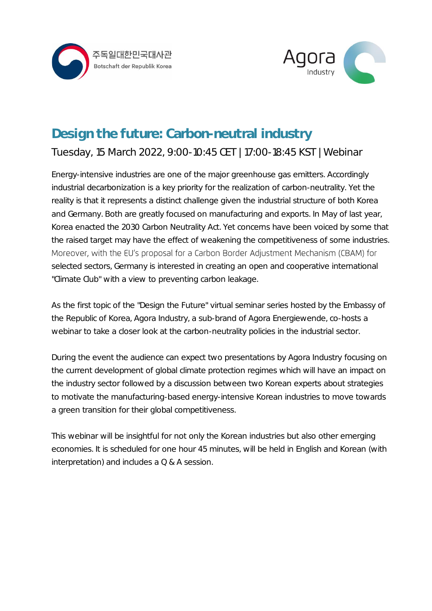



## Design the future: Carbon-neutral industry Tuesday, 15 March 2022, 9:00-10:45 CET | 17:00-18:45 KST | Webinar

Energy-intensive industries are one of the major greenhouse gas emitters. Accordingly industrial decarbonization is a key priority for the realization of carbon-neutrality. Yet the reality is that it represents a distinct challenge given the industrial structure of both Korea and Germany. Both are greatly focused on manufacturing and exports. In May of last year, Korea enacted the 2030 Carbon Neutrality Act. Yet concerns have been voiced by some that the raised target may have the effect of weakening the competitiveness of some industries. Moreover, with the EU's proposal for a Carbon Border Adjustment Mechanism (CBAM) for selected sectors, Germany is interested in creating an open and cooperative international "Climate Club" with a view to preventing carbon leakage.

As the first topic of the "Design the Future" virtual seminar series hosted by the Embassy of the Republic of Korea, Agora Industry, a sub-brand of Agora Energiewende, co-hosts a webinar to take a closer look at the carbon-neutrality policies in the industrial sector.

During the event the audience can expect two presentations by Agora Industry focusing on the current development of global climate protection regimes which will have an impact on the industry sector followed by a discussion between two Korean experts about strategies to motivate the manufacturing-based energy-intensive Korean industries to move towards a green transition for their global competitiveness.

This webinar will be insightful for not only the Korean industries but also other emerging economies. It is scheduled for one hour 45 minutes, will be held in English and Korean (with interpretation) and includes a Q & A session.